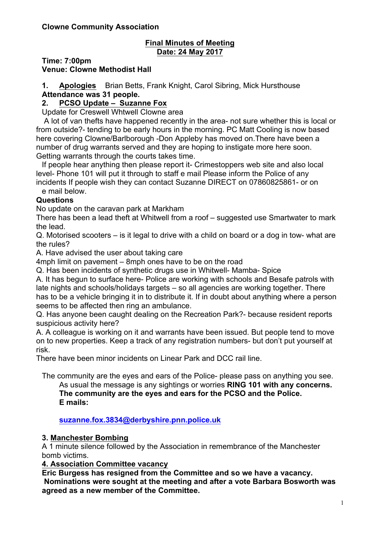### **Final Minutes of Meeting Date: 24 May 2017**

**Time: 7:00pm**

**Venue: Clowne Methodist Hall**

**1. Apologies** Brian Betts, Frank Knight, Carol Sibring, Mick Hursthouse **Attendance was 31 people.**

# **2. PCSO Update – Suzanne Fox**

Update for Creswell Whtwell Clowne area

A lot of van thefts have happened recently in the area- not sure whether this is local or from outside?- tending to be early hours in the morning. PC Matt Cooling is now based here covering Clowne/Barlborough -Don Appleby has moved on.There have been a number of drug warrants served and they are hoping to instigate more here soon. Getting warrants through the courts takes time.

If people hear anything then please report it- Crimestoppers web site and also local level- Phone 101 will put it through to staff e mail Please inform the Police of any incidents If people wish they can contact Suzanne DIRECT on 07860825861- or on

e mail below.

## **Questions**

No update on the caravan park at Markham

There has been a lead theft at Whitwell from a roof – suggested use Smartwater to mark the lead.

Q. Motorised scooters – is it legal to drive with a child on board or a dog in tow- what are the rules?

A. Have advised the user about taking care

4mph limit on pavement – 8mph ones have to be on the road

Q. Has been incidents of synthetic drugs use in Whitwell- Mamba- Spice

A. It has begun to surface here- Police are working with schools and Besafe patrols with late nights and schools/holidays targets – so all agencies are working together. There has to be a vehicle bringing it in to distribute it. If in doubt about anything where a person seems to be affected then ring an ambulance.

Q. Has anyone been caught dealing on the Recreation Park?- because resident reports suspicious activity here?

A. A colleague is working on it and warrants have been issued. But people tend to move on to new properties. Keep a track of any registration numbers- but don't put yourself at risk.

There have been minor incidents on Linear Park and DCC rail line.

The community are the eyes and ears of the Police- please pass on anything you see. As usual the message is any sightings or worries **RING 101 with any concerns. The community are the eyes and ears for the PCSO and the Police. E mails:**

### **suzanne.fox.3834@derbyshire.pnn.police.uk**

### **3. Manchester Bombing**

A 1 minute silence followed by the Association in remembrance of the Manchester bomb victims.

**4. Association Committee vacancy**

**Eric Burgess has resigned from the Committee and so we have a vacancy. Nominations were sought at the meeting and after a vote Barbara Bosworth was agreed as a new member of the Committee.**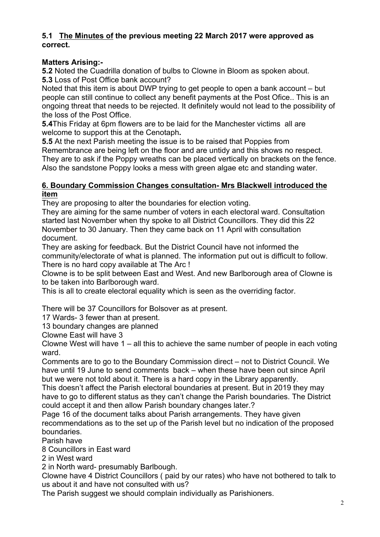## **5.1 The Minutes of the previous meeting 22 March 2017 were approved as correct.**

## **Matters Arising:-**

**5.2** Noted the Cuadrilla donation of bulbs to Clowne in Bloom as spoken about. **5.3** Loss of Post Office bank account?

Noted that this item is about DWP trying to get people to open a bank account – but people can still continue to collect any benefit payments at the Post Ofice.. This is an ongoing threat that needs to be rejected. It definitely would not lead to the possibility of the loss of the Post Office.

**5.4**This Friday at 6pm flowers are to be laid for the Manchester victims all are welcome to support this at the Cenotaph**.** 

**5.5** At the next Parish meeting the issue is to be raised that Poppies from Remembrance are being left on the floor and are untidy and this shows no respect. They are to ask if the Poppy wreaths can be placed vertically on brackets on the fence. Also the sandstone Poppy looks a mess with green algae etc and standing water.

### **6. Boundary Commission Changes consultation- Mrs Blackwell introduced the item**

They are proposing to alter the boundaries for election voting.

They are aiming for the same number of voters in each electoral ward. Consultation started last November when thy spoke to all District Councillors. They did this 22 November to 30 January. Then they came back on 11 April with consultation document.

They are asking for feedback. But the District Council have not informed the community/electorate of what is planned. The information put out is difficult to follow. There is no hard copy available at The Arc !

Clowne is to be split between East and West. And new Barlborough area of Clowne is to be taken into Barlborough ward.

This is all to create electoral equality which is seen as the overriding factor.

There will be 37 Councillors for Bolsover as at present.

17 Wards- 3 fewer than at present.

13 boundary changes are planned

Clowne East will have 3

Clowne West will have 1 – all this to achieve the same number of people in each voting ward.

Comments are to go to the Boundary Commission direct – not to District Council. We have until 19 June to send comments back – when these have been out since April but we were not told about it. There is a hard copy in the Library apparently.

This doesn't affect the Parish electoral boundaries at present. But in 2019 they may have to go to different status as they can't change the Parish boundaries. The District could accept it and then allow Parish boundary changes later.?

Page 16 of the document talks about Parish arrangements. They have given recommendations as to the set up of the Parish level but no indication of the proposed boundaries.

Parish have

8 Councillors in East ward

2 in West ward

2 in North ward- presumably Barlbough.

Clowne have 4 District Councillors ( paid by our rates) who have not bothered to talk to us about it and have not consulted with us?

The Parish suggest we should complain individually as Parishioners.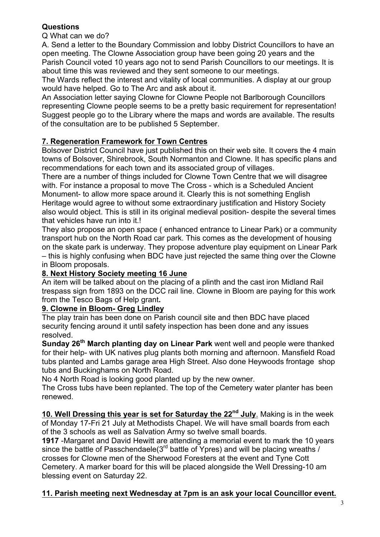# **Questions**

Q What can we do?

A. Send a letter to the Boundary Commission and lobby District Councillors to have an open meeting. The Clowne Association group have been going 20 years and the

Parish Council voted 10 years ago not to send Parish Councillors to our meetings. It is about time this was reviewed and they sent someone to our meetings.

The Wards reflect the interest and vitality of local communities. A display at our group would have helped. Go to The Arc and ask about it.

An Association letter saying Clowne for Clowne People not Barlborough Councillors representing Clowne people seems to be a pretty basic requirement for representation! Suggest people go to the Library where the maps and words are available. The results of the consultation are to be published 5 September.

# **7. Regeneration Framework for Town Centres**

Bolsover District Council have just published this on their web site. It covers the 4 main towns of Bolsover, Shirebrook, South Normanton and Clowne. It has specific plans and recommendations for each town and its associated group of villages.

There are a number of things included for Clowne Town Centre that we will disagree with. For instance a proposal to move The Cross - which is a Scheduled Ancient Monument- to allow more space around it. Clearly this is not something English Heritage would agree to without some extraordinary justification and History Society also would object. This is still in its original medieval position- despite the several times that vehicles have run into it.!

They also propose an open space ( enhanced entrance to Linear Park) or a community transport hub on the North Road car park. This comes as the development of housing on the skate park is underway. They propose adventure play equipment on Linear Park – this is highly confusing when BDC have just rejected the same thing over the Clowne in Bloom proposals.

# **8. Next History Society meeting 16 June**

An item will be talked about on the placing of a plinth and the cast iron Midland Rail trespass sign from 1893 on the DCC rail line. Clowne in Bloom are paying for this work from the Tesco Bags of Help grant**.**

# **9. Clowne in Bloom- Greg Lindley**

The play train has been done on Parish council site and then BDC have placed security fencing around it until safety inspection has been done and any issues resolved.

**Sunday 26th March planting day on Linear Park** went well and people were thanked for their help- with UK natives plug plants both morning and afternoon. Mansfield Road tubs planted and Lambs garage area High Street. Also done Heywoods frontage shop tubs and Buckinghams on North Road.

No 4 North Road is looking good planted up by the new owner.

The Cross tubs have been replanted. The top of the Cemetery water planter has been renewed.

**10. Well Dressing this year is set for Saturday the 22nd July**. Making is in the week of Monday 17-Fri 21 July at Methodists Chapel. We will have small boards from each of the 3 schools as well as Salvation Army so twelve small boards.

**1917** -Margaret and David Hewitt are attending a memorial event to mark the 10 years since the battle of Passchendaele( $3<sup>rd</sup>$  battle of Ypres) and will be placing wreaths / crosses for Clowne men of the Sherwood Foresters at the event and Tyne Cott Cemetery. A marker board for this will be placed alongside the Well Dressing-10 am blessing event on Saturday 22.

# **11. Parish meeting next Wednesday at 7pm is an ask your local Councillor event.**